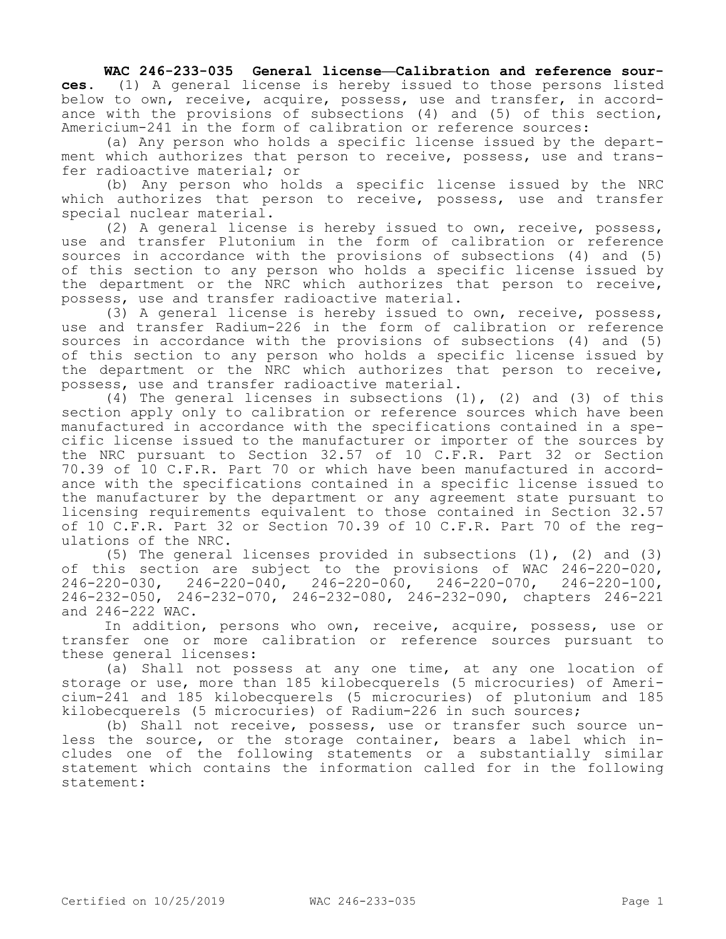## WAC 246-233-035 General license—Calibration and reference sour**ces.** (1) A general license is hereby issued to those persons listed below to own, receive, acquire, possess, use and transfer, in accord-

ance with the provisions of subsections (4) and (5) of this section, Americium-241 in the form of calibration or reference sources:

(a) Any person who holds a specific license issued by the department which authorizes that person to receive, possess, use and transfer radioactive material; or

(b) Any person who holds a specific license issued by the NRC which authorizes that person to receive, possess, use and transfer special nuclear material.

(2) A general license is hereby issued to own, receive, possess, use and transfer Plutonium in the form of calibration or reference sources in accordance with the provisions of subsections (4) and (5) of this section to any person who holds a specific license issued by the department or the NRC which authorizes that person to receive, possess, use and transfer radioactive material.

(3) A general license is hereby issued to own, receive, possess, use and transfer Radium-226 in the form of calibration or reference sources in accordance with the provisions of subsections (4) and (5) of this section to any person who holds a specific license issued by the department or the NRC which authorizes that person to receive, possess, use and transfer radioactive material.

(4) The general licenses in subsections  $(1)$ ,  $(2)$  and  $(3)$  of this section apply only to calibration or reference sources which have been manufactured in accordance with the specifications contained in a specific license issued to the manufacturer or importer of the sources by the NRC pursuant to Section 32.57 of 10 C.F.R. Part 32 or Section 70.39 of 10 C.F.R. Part 70 or which have been manufactured in accordance with the specifications contained in a specific license issued to the manufacturer by the department or any agreement state pursuant to licensing requirements equivalent to those contained in Section 32.57 of 10 C.F.R. Part 32 or Section 70.39 of 10 C.F.R. Part 70 of the regulations of the NRC.

(5) The general licenses provided in subsections (1), (2) and (3) of this section are subject to the provisions of WAC 246-220-020, 246-220-030, 246-220-040, 246-220-060, 246-220-070, 246-220-100, 246-232-050, 246-232-070, 246-232-080, 246-232-090, chapters 246-221 and 246-222 WAC.

In addition, persons who own, receive, acquire, possess, use or transfer one or more calibration or reference sources pursuant to these general licenses:

(a) Shall not possess at any one time, at any one location of storage or use, more than 185 kilobecquerels (5 microcuries) of Americium-241 and 185 kilobecquerels (5 microcuries) of plutonium and 185 kilobecquerels (5 microcuries) of Radium-226 in such sources;

(b) Shall not receive, possess, use or transfer such source unless the source, or the storage container, bears a label which includes one of the following statements or a substantially similar statement which contains the information called for in the following statement: